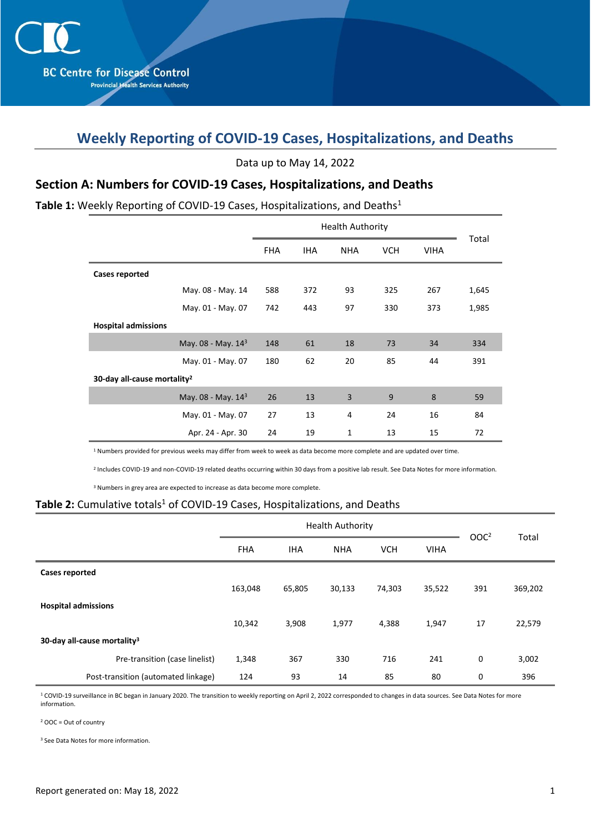# **Weekly Reporting of COVID-19 Cases, Hospitalizations, and Deaths**

Data up to May 14, 2022

### **Section A: Numbers for COVID-19 Cases, Hospitalizations, and Deaths**

#### Table 1: Weekly Reporting of COVID-19 Cases, Hospitalizations, and Deaths<sup>1</sup>

|                                         | <b>FHA</b> | <b>IHA</b> | <b>NHA</b> | <b>VCH</b> | <b>VIHA</b> | Total |  |  |  |
|-----------------------------------------|------------|------------|------------|------------|-------------|-------|--|--|--|
| Cases reported                          |            |            |            |            |             |       |  |  |  |
| May. 08 - May. 14                       | 588        | 372        | 93         | 325        | 267         | 1,645 |  |  |  |
| May. 01 - May. 07                       | 742        | 443        | 97         | 330        | 373         | 1,985 |  |  |  |
| <b>Hospital admissions</b>              |            |            |            |            |             |       |  |  |  |
| May. 08 - May. 143                      | 148        | 61         | 18         | 73         | 34          | 334   |  |  |  |
| May. 01 - May. 07                       | 180        | 62         | 20         | 85         | 44          | 391   |  |  |  |
| 30-day all-cause mortality <sup>2</sup> |            |            |            |            |             |       |  |  |  |
| May. $08 -$ May. $143$                  | 26         | 13         | 3          | 9          | 8           | 59    |  |  |  |
| May. 01 - May. 07                       | 27         | 13         | 4          | 24         | 16          | 84    |  |  |  |
| Apr. 24 - Apr. 30                       | 24         | 19         | 1          | 13         | 15          | 72    |  |  |  |

<sup>1</sup> Numbers provided for previous weeks may differ from week to week as data become more complete and are updated over time.

2 Includes COVID-19 and non-COVID-19 related deaths occurring within 30 days from a positive lab result. See Data Notes for more information.

<sup>3</sup> Numbers in grey area are expected to increase as data become more complete.

#### Table 2: Cumulative totals<sup>1</sup> of COVID-19 Cases, Hospitalizations, and Deaths

|                                         |            | <b>Health Authority</b> | OOC <sup>2</sup> | Total      |             |     |         |
|-----------------------------------------|------------|-------------------------|------------------|------------|-------------|-----|---------|
|                                         | <b>FHA</b> | <b>IHA</b>              | <b>NHA</b>       | <b>VCH</b> | <b>VIHA</b> |     |         |
| <b>Cases reported</b>                   |            |                         |                  |            |             |     |         |
|                                         | 163,048    | 65,805                  | 30,133           | 74,303     | 35,522      | 391 | 369,202 |
| <b>Hospital admissions</b>              |            |                         |                  |            |             |     |         |
|                                         | 10,342     | 3,908                   | 1,977            | 4,388      | 1,947       | 17  | 22,579  |
| 30-day all-cause mortality <sup>3</sup> |            |                         |                  |            |             |     |         |
| Pre-transition (case linelist)          | 1,348      | 367                     | 330              | 716        | 241         | 0   | 3,002   |
| Post-transition (automated linkage)     | 124        | 93                      | 14               | 85         | 80          | 0   | 396     |

<sup>1</sup> COVID-19 surveillance in BC began in January 2020. The transition to weekly reporting on April 2, 2022 corresponded to changes in data sources. See Data Notes for more information.

 $2$  OOC = Out of country

<sup>3</sup> See Data Notes for more information.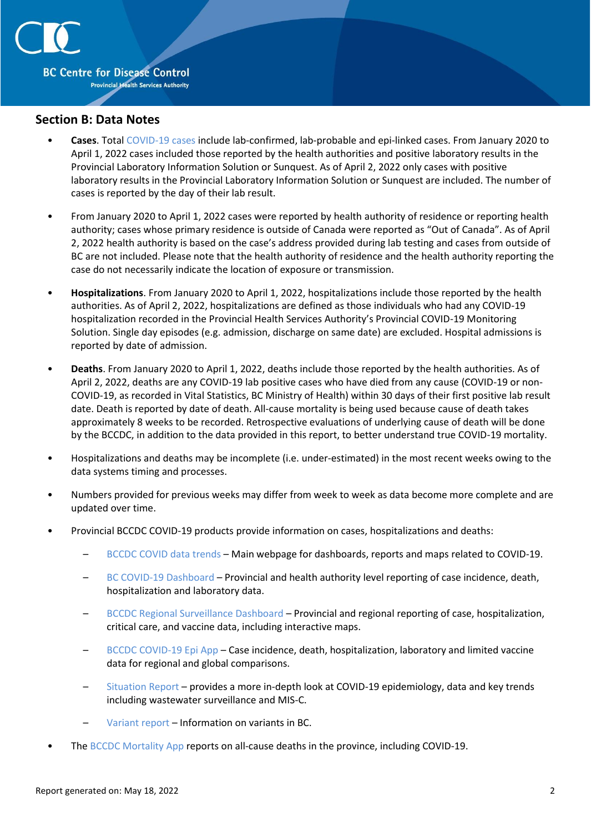

#### **Section B: Data Notes**

- **Cases**. Total [COVID-19 cases](http://www.bccdc.ca/health-professionals/clinical-resources/case-definitions/covid-19-(novel-coronavirus)) include lab-confirmed, lab-probable and epi-linked cases. From January 2020 to April 1, 2022 cases included those reported by the health authorities and positive laboratory results in the Provincial Laboratory Information Solution or Sunquest. As of April 2, 2022 only cases with positive laboratory results in the Provincial Laboratory Information Solution or Sunquest are included. The number of cases is reported by the day of their lab result.
- From January 2020 to April 1, 2022 cases were reported by health authority of residence or reporting health authority; cases whose primary residence is outside of Canada were reported as "Out of Canada". As of April 2, 2022 health authority is based on the case's address provided during lab testing and cases from outside of BC are not included. Please note that the health authority of residence and the health authority reporting the case do not necessarily indicate the location of exposure or transmission.
- **Hospitalizations**. From January 2020 to April 1, 2022, hospitalizations include those reported by the health authorities. As of April 2, 2022, hospitalizations are defined as those individuals who had any COVID-19 hospitalization recorded in the Provincial Health Services Authority's Provincial COVID-19 Monitoring Solution. Single day episodes (e.g. admission, discharge on same date) are excluded. Hospital admissions is reported by date of admission.
- **Deaths**. From January 2020 to April 1, 2022, deaths include those reported by the health authorities. As of April 2, 2022, deaths are any COVID-19 lab positive cases who have died from any cause (COVID-19 or non-COVID-19, as recorded in Vital Statistics, BC Ministry of Health) within 30 days of their first positive lab result date. Death is reported by date of death. All-cause mortality is being used because cause of death takes approximately 8 weeks to be recorded. Retrospective evaluations of underlying cause of death will be done by the BCCDC, in addition to the data provided in this report, to better understand true COVID-19 mortality.
- Hospitalizations and deaths may be incomplete (i.e. under-estimated) in the most recent weeks owing to the data systems timing and processes.
- Numbers provided for previous weeks may differ from week to week as data become more complete and are updated over time.
- Provincial BCCDC COVID-19 products provide information on cases, hospitalizations and deaths:
	- [BCCDC COVID data trends](http://www.bccdc.ca/health-info/diseases-conditions/covid-19/data-trends) Main webpage for dashboards, reports and maps related to COVID-19.
	- [BC COVID-19 Dashboard](https://experience.arcgis.com/experience/a6f23959a8b14bfa989e3cda29297ded) Provincial and health authority level reporting of case incidence, death, hospitalization and laboratory data.
	- [BCCDC Regional Surveillance Dashboard](http://www.bccdc.ca/health-professionals/data-reports/covid-19-surveillance-dashboard) Provincial and regional reporting of case, hospitalization, critical care, and vaccine data, including interactive maps.
	- [BCCDC COVID-19 Epi App](https://bccdc.shinyapps.io/covid19_global_epi_app/) Case incidence, death, hospitalization, laboratory and limited vaccine data for regional and global comparisons.
	- [Situation Report](http://www.bccdc.ca/health-info/diseases-conditions/covid-19/data#Situationreport/) provides a more in-depth look at COVID-19 epidemiology, data and key trends including wastewater surveillance and MIS-C.
	- [Variant report](http://www.bccdc.ca/health-info/diseases-conditions/covid-19/data#variants) Information on variants in BC.
- The [BCCDC Mortality App](https://bccdc.shinyapps.io/Mortality_Context_ShinyApp/) reports on all-cause deaths in the province, including COVID-19.